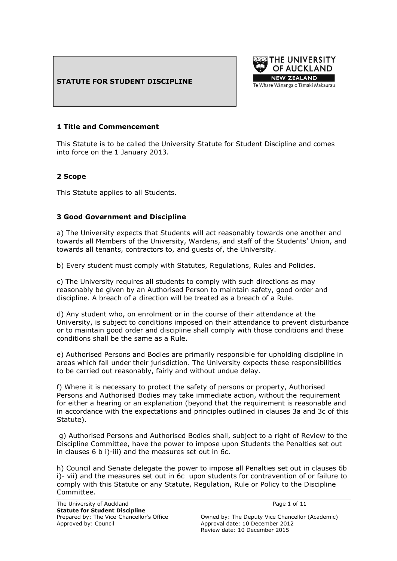## **STATUTE FOR STUDENT DISCIPLINE**



#### **1 Title and Commencement**

This Statute is to be called the University Statute for Student Discipline and comes into force on the 1 January 2013.

## **2 Scope**

This Statute applies to all Students.

#### **3 Good Government and Discipline**

a) The University expects that Students will act reasonably towards one another and towards all Members of the University, Wardens, and staff of the Students" Union, and towards all tenants, contractors to, and guests of, the University.

b) Every student must comply with Statutes, Regulations, Rules and Policies.

c) The University requires all students to comply with such directions as may reasonably be given by an Authorised Person to maintain safety, good order and discipline. A breach of a direction will be treated as a breach of a Rule.

d) Any student who, on enrolment or in the course of their attendance at the University, is subject to conditions imposed on their attendance to prevent disturbance or to maintain good order and discipline shall comply with those conditions and these conditions shall be the same as a Rule.

e) Authorised Persons and Bodies are primarily responsible for upholding discipline in areas which fall under their jurisdiction. The University expects these responsibilities to be carried out reasonably, fairly and without undue delay.

f) Where it is necessary to protect the safety of persons or property, Authorised Persons and Authorised Bodies may take immediate action, without the requirement for either a hearing or an explanation (beyond that the requirement is reasonable and in accordance with the expectations and principles outlined in clauses 3a and 3c of this Statute).

g) Authorised Persons and Authorised Bodies shall, subject to a right of Review to the Discipline Committee, have the power to impose upon Students the Penalties set out in clauses 6 b i)-iii) and the measures set out in 6c.

h) Council and Senate delegate the power to impose all Penalties set out in clauses 6b i)- vii) and the measures set out in 6c upon students for contravention of or failure to comply with this Statute or any Statute, Regulation, Rule or Policy to the Discipline Committee.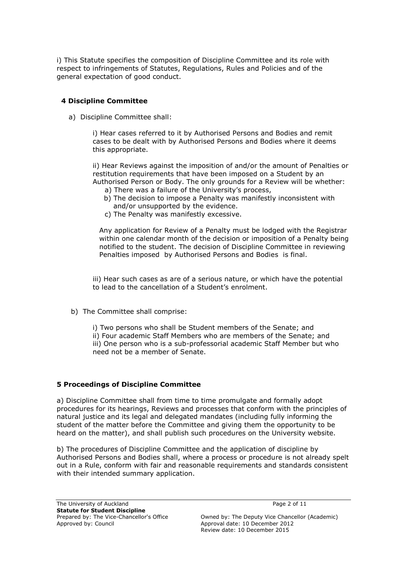i) This Statute specifies the composition of Discipline Committee and its role with respect to infringements of Statutes, Regulations, Rules and Policies and of the general expectation of good conduct.

## **4 Discipline Committee**

a) Discipline Committee shall:

i) Hear cases referred to it by Authorised Persons and Bodies and remit cases to be dealt with by Authorised Persons and Bodies where it deems this appropriate.

ii) Hear Reviews against the imposition of and/or the amount of Penalties or restitution requirements that have been imposed on a Student by an Authorised Person or Body. The only grounds for a Review will be whether:

- a) There was a failure of the University's process,
- b) The decision to impose a Penalty was manifestly inconsistent with and/or unsupported by the evidence.
- c) The Penalty was manifestly excessive.

Any application for Review of a Penalty must be lodged with the Registrar within one calendar month of the decision or imposition of a Penalty being notified to the student. The decision of Discipline Committee in reviewing Penalties imposed by Authorised Persons and Bodies is final.

iii) Hear such cases as are of a serious nature, or which have the potential to lead to the cancellation of a Student's enrolment.

b) The Committee shall comprise:

i) Two persons who shall be Student members of the Senate; and ii) Four academic Staff Members who are members of the Senate; and iii) One person who is a sub-professorial academic Staff Member but who need not be a member of Senate.

## **5 Proceedings of Discipline Committee**

a) Discipline Committee shall from time to time promulgate and formally adopt procedures for its hearings, Reviews and processes that conform with the principles of natural justice and its legal and delegated mandates (including fully informing the student of the matter before the Committee and giving them the opportunity to be heard on the matter), and shall publish such procedures on the University website.

b) The procedures of Discipline Committee and the application of discipline by Authorised Persons and Bodies shall, where a process or procedure is not already spelt out in a Rule, conform with fair and reasonable requirements and standards consistent with their intended summary application.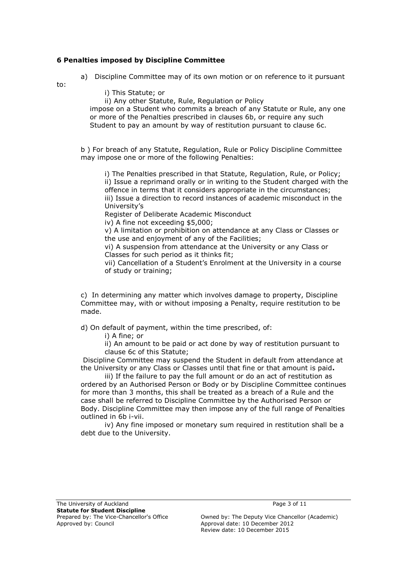## **6 Penalties imposed by Discipline Committee**

a) Discipline Committee may of its own motion or on reference to it pursuant

to:

i) This Statute; or

ii) Any other Statute, Rule, Regulation or Policy

impose on a Student who commits a breach of any Statute or Rule, any one or more of the Penalties prescribed in clauses 6b, or require any such Student to pay an amount by way of restitution pursuant to clause 6c.

b ) For breach of any Statute, Regulation, Rule or Policy Discipline Committee may impose one or more of the following Penalties:

i) The Penalties prescribed in that Statute, Regulation, Rule, or Policy; ii) Issue a reprimand orally or in writing to the Student charged with the offence in terms that it considers appropriate in the circumstances; iii) Issue a direction to record instances of academic misconduct in the University"s

Register of Deliberate Academic Misconduct

iv) A fine not exceeding \$5,000;

v) A limitation or prohibition on attendance at any Class or Classes or the use and enjoyment of any of the Facilities;

vi) A suspension from attendance at the University or any Class or Classes for such period as it thinks fit;

vii) Cancellation of a Student's Enrolment at the University in a course of study or training;

c) In determining any matter which involves damage to property, Discipline Committee may, with or without imposing a Penalty, require restitution to be made.

d) On default of payment, within the time prescribed, of:

i) A fine; or

ii) An amount to be paid or act done by way of restitution pursuant to clause 6c of this Statute;

Discipline Committee may suspend the Student in default from attendance at the University or any Class or Classes until that fine or that amount is paid**.**

iii) If the failure to pay the full amount or do an act of restitution as ordered by an Authorised Person or Body or by Discipline Committee continues for more than 3 months, this shall be treated as a breach of a Rule and the case shall be referred to Discipline Committee by the Authorised Person or Body. Discipline Committee may then impose any of the full range of Penalties outlined in 6b i-vii.

iv) Any fine imposed or monetary sum required in restitution shall be a debt due to the University.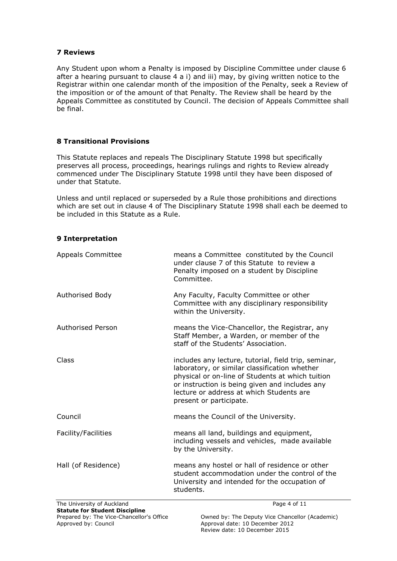#### **7 Reviews**

Any Student upon whom a Penalty is imposed by Discipline Committee under clause 6 after a hearing pursuant to clause 4 a i) and iii) may, by giving written notice to the Registrar within one calendar month of the imposition of the Penalty, seek a Review of the imposition or of the amount of that Penalty. The Review shall be heard by the Appeals Committee as constituted by Council. The decision of Appeals Committee shall be final.

## **8 Transitional Provisions**

This Statute replaces and repeals The Disciplinary Statute 1998 but specifically preserves all process, proceedings, hearings rulings and rights to Review already commenced under The Disciplinary Statute 1998 until they have been disposed of under that Statute.

Unless and until replaced or superseded by a Rule those prohibitions and directions which are set out in clause 4 of The Disciplinary Statute 1998 shall each be deemed to be included in this Statute as a Rule.

## **9 Interpretation**

| <b>Appeals Committee</b> | means a Committee constituted by the Council<br>under clause 7 of this Statute to review a<br>Penalty imposed on a student by Discipline<br>Committee.                                                                                                                             |
|--------------------------|------------------------------------------------------------------------------------------------------------------------------------------------------------------------------------------------------------------------------------------------------------------------------------|
| Authorised Body          | Any Faculty, Faculty Committee or other<br>Committee with any disciplinary responsibility<br>within the University.                                                                                                                                                                |
| Authorised Person        | means the Vice-Chancellor, the Registrar, any<br>Staff Member, a Warden, or member of the<br>staff of the Students' Association.                                                                                                                                                   |
| Class                    | includes any lecture, tutorial, field trip, seminar,<br>laboratory, or similar classification whether<br>physical or on-line of Students at which tuition<br>or instruction is being given and includes any<br>lecture or address at which Students are<br>present or participate. |
| Council                  | means the Council of the University.                                                                                                                                                                                                                                               |
| Facility/Facilities      | means all land, buildings and equipment,<br>including vessels and vehicles, made available<br>by the University.                                                                                                                                                                   |
| Hall (of Residence)      | means any hostel or hall of residence or other<br>student accommodation under the control of the<br>University and intended for the occupation of<br>students.                                                                                                                     |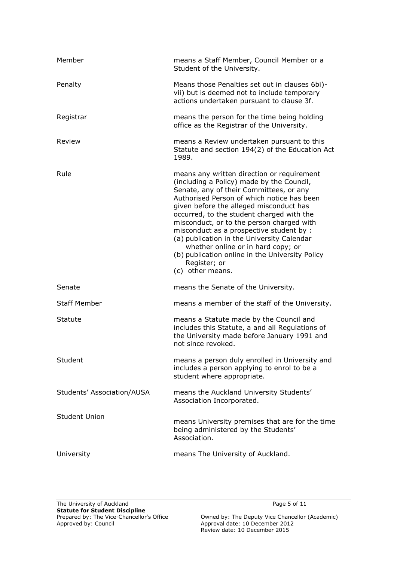| Member                     | means a Staff Member, Council Member or a<br>Student of the University.                                                                                                                                                                                                                                                                                                                                                                                                                                                                      |
|----------------------------|----------------------------------------------------------------------------------------------------------------------------------------------------------------------------------------------------------------------------------------------------------------------------------------------------------------------------------------------------------------------------------------------------------------------------------------------------------------------------------------------------------------------------------------------|
| Penalty                    | Means those Penalties set out in clauses 6bi)-<br>vii) but is deemed not to include temporary<br>actions undertaken pursuant to clause 3f.                                                                                                                                                                                                                                                                                                                                                                                                   |
| Registrar                  | means the person for the time being holding<br>office as the Registrar of the University.                                                                                                                                                                                                                                                                                                                                                                                                                                                    |
| Review                     | means a Review undertaken pursuant to this<br>Statute and section 194(2) of the Education Act<br>1989.                                                                                                                                                                                                                                                                                                                                                                                                                                       |
| Rule                       | means any written direction or requirement<br>(including a Policy) made by the Council,<br>Senate, any of their Committees, or any<br>Authorised Person of which notice has been<br>given before the alleged misconduct has<br>occurred, to the student charged with the<br>misconduct, or to the person charged with<br>misconduct as a prospective student by :<br>(a) publication in the University Calendar<br>whether online or in hard copy; or<br>(b) publication online in the University Policy<br>Register; or<br>(c) other means. |
| Senate                     | means the Senate of the University.                                                                                                                                                                                                                                                                                                                                                                                                                                                                                                          |
| <b>Staff Member</b>        | means a member of the staff of the University.                                                                                                                                                                                                                                                                                                                                                                                                                                                                                               |
| Statute                    | means a Statute made by the Council and<br>includes this Statute, a and all Regulations of<br>the University made before January 1991 and<br>not since revoked.                                                                                                                                                                                                                                                                                                                                                                              |
| Student                    | means a person duly enrolled in University and<br>includes a person applying to enrol to be a<br>student where appropriate.                                                                                                                                                                                                                                                                                                                                                                                                                  |
| Students' Association/AUSA | means the Auckland University Students'<br>Association Incorporated.                                                                                                                                                                                                                                                                                                                                                                                                                                                                         |
| <b>Student Union</b>       | means University premises that are for the time<br>being administered by the Students'<br>Association.                                                                                                                                                                                                                                                                                                                                                                                                                                       |
| University                 | means The University of Auckland.                                                                                                                                                                                                                                                                                                                                                                                                                                                                                                            |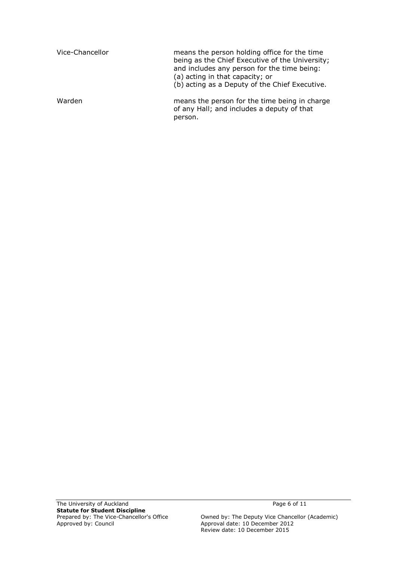| Vice-Chancellor | means the person holding office for the time<br>being as the Chief Executive of the University;<br>and includes any person for the time being:<br>(a) acting in that capacity; or<br>(b) acting as a Deputy of the Chief Executive. |
|-----------------|-------------------------------------------------------------------------------------------------------------------------------------------------------------------------------------------------------------------------------------|
| Warden          | means the person for the time being in charge<br>of any Hall; and includes a deputy of that<br>person.                                                                                                                              |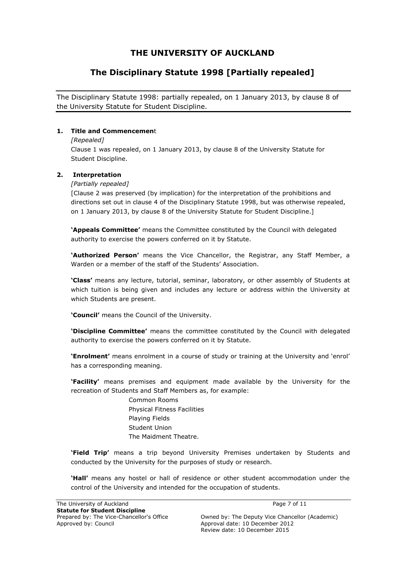# **THE UNIVERSITY OF AUCKLAND**

# **The Disciplinary Statute 1998 [Partially repealed]**

The Disciplinary Statute 1998: partially repealed, on 1 January 2013, by clause 8 of the University Statute for Student Discipline.

### **1. Title and Commencemen**t

#### *[Repealed]*

Clause 1 was repealed, on 1 January 2013, by clause 8 of the University Statute for Student Discipline.

#### **2. Interpretation**

#### *[Partially repealed]*

[Clause 2 was preserved (by implication) for the interpretation of the prohibitions and directions set out in clause 4 of the Disciplinary Statute 1998, but was otherwise repealed, on 1 January 2013, by clause 8 of the University Statute for Student Discipline.]

**'Appeals Committee'** means the Committee constituted by the Council with delegated authority to exercise the powers conferred on it by Statute.

**'Authorized Person'** means the Vice Chancellor, the Registrar, any Staff Member, a Warden or a member of the staff of the Students' Association.

**'Class'** means any lecture, tutorial, seminar, laboratory, or other assembly of Students at which tuition is being given and includes any lecture or address within the University at which Students are present.

**'Council'** means the Council of the University.

**'Discipline Committee'** means the committee constituted by the Council with delegated authority to exercise the powers conferred on it by Statute.

**'Enrolment'** means enrolment in a course of study or training at the University and "enrol" has a corresponding meaning.

**'Facility'** means premises and equipment made available by the University for the recreation of Students and Staff Members as, for example:

> Common Rooms Physical Fitness Facilities Playing Fields Student Union The Maidment Theatre.

**'Field Trip'** means a trip beyond University Premises undertaken by Students and conducted by the University for the purposes of study or research.

**'Hall'** means any hostel or hall of residence or other student accommodation under the control of the University and intended for the occupation of students.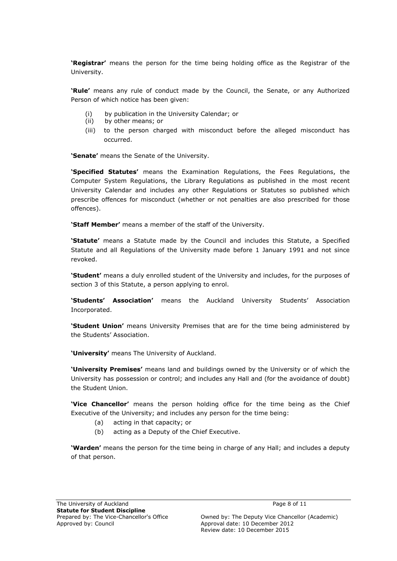**'Registrar'** means the person for the time being holding office as the Registrar of the University.

**'Rule'** means any rule of conduct made by the Council, the Senate, or any Authorized Person of which notice has been given:

- (i) by publication in the University Calendar; or
- (ii) by other means; or
- (iii) to the person charged with misconduct before the alleged misconduct has occurred.

**'Senate'** means the Senate of the University.

**'Specified Statutes'** means the Examination Regulations, the Fees Regulations, the Computer System Regulations, the Library Regulations as published in the most recent University Calendar and includes any other Regulations or Statutes so published which prescribe offences for misconduct (whether or not penalties are also prescribed for those offences).

**'Staff Member'** means a member of the staff of the University.

**'Statute'** means a Statute made by the Council and includes this Statute, a Specified Statute and all Regulations of the University made before 1 January 1991 and not since revoked.

**'Student'** means a duly enrolled student of the University and includes, for the purposes of section 3 of this Statute, a person applying to enrol.

**'Students' Association'** means the Auckland University Students' Association Incorporated.

**'Student Union'** means University Premises that are for the time being administered by the Students' Association.

**'University'** means The University of Auckland.

**'University Premises'** means land and buildings owned by the University or of which the University has possession or control; and includes any Hall and (for the avoidance of doubt) the Student Union.

**'Vice Chancellor'** means the person holding office for the time being as the Chief Executive of the University; and includes any person for the time being:

- (a) acting in that capacity; or
- (b) acting as a Deputy of the Chief Executive.

**'Warden'** means the person for the time being in charge of any Hall; and includes a deputy of that person.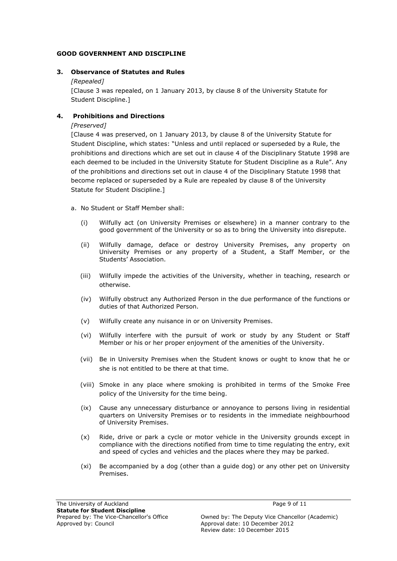#### **GOOD GOVERNMENT AND DISCIPLINE**

#### **3. Observance of Statutes and Rules**

#### *[Repealed]*

[Clause 3 was repealed, on 1 January 2013, by clause 8 of the University Statute for Student Discipline.]

## **4. Prohibitions and Directions**

*[Preserved]*

[Clause 4 was preserved, on 1 January 2013, by clause 8 of the University Statute for Student Discipline, which states: "Unless and until replaced or superseded by a Rule, the prohibitions and directions which are set out in clause 4 of the Disciplinary Statute 1998 are each deemed to be included in the University Statute for Student Discipline as a Rule". Any of the prohibitions and directions set out in clause 4 of the Disciplinary Statute 1998 that become replaced or superseded by a Rule are repealed by clause 8 of the University Statute for Student Discipline.]

- a. No Student or Staff Member shall:
	- (i) Wilfully act (on University Premises or elsewhere) in a manner contrary to the good government of the University or so as to bring the University into disrepute.
	- (ii) Wilfully damage, deface or destroy University Premises, any property on University Premises or any property of a Student, a Staff Member, or the Students" Association.
	- (iii) Wilfully impede the activities of the University, whether in teaching, research or otherwise.
	- (iv) Wilfully obstruct any Authorized Person in the due performance of the functions or duties of that Authorized Person.
	- (v) Wilfully create any nuisance in or on University Premises.
	- (vi) Wilfully interfere with the pursuit of work or study by any Student or Staff Member or his or her proper enjoyment of the amenities of the University.
	- (vii) Be in University Premises when the Student knows or ought to know that he or she is not entitled to be there at that time.
	- (viii) Smoke in any place where smoking is prohibited in terms of the Smoke Free policy of the University for the time being.
	- (ix) Cause any unnecessary disturbance or annoyance to persons living in residential quarters on University Premises or to residents in the immediate neighbourhood of University Premises.
	- (x) Ride, drive or park a cycle or motor vehicle in the University grounds except in compliance with the directions notified from time to time regulating the entry, exit and speed of cycles and vehicles and the places where they may be parked.
	- (xi) Be accompanied by a dog (other than a guide dog) or any other pet on University Premises.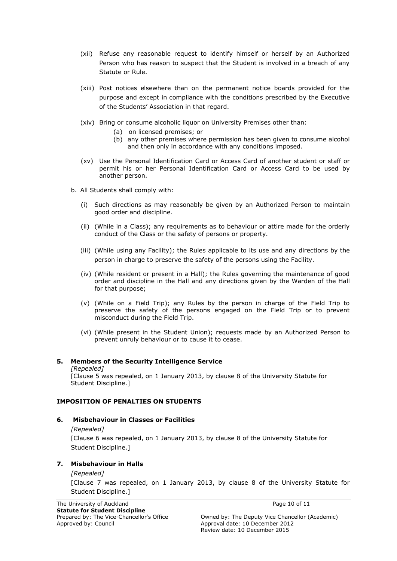- (xii) Refuse any reasonable request to identify himself or herself by an Authorized Person who has reason to suspect that the Student is involved in a breach of any Statute or Rule.
- (xiii) Post notices elsewhere than on the permanent notice boards provided for the purpose and except in compliance with the conditions prescribed by the Executive of the Students' Association in that regard.
- (xiv) Bring or consume alcoholic liquor on University Premises other than:
	- (a) on licensed premises; or
	- (b) any other premises where permission has been given to consume alcohol and then only in accordance with any conditions imposed.
- (xv) Use the Personal Identification Card or Access Card of another student or staff or permit his or her Personal Identification Card or Access Card to be used by another person.
- b. All Students shall comply with:
	- (i) Such directions as may reasonably be given by an Authorized Person to maintain good order and discipline.
	- (ii) (While in a Class); any requirements as to behaviour or attire made for the orderly conduct of the Class or the safety of persons or property.
	- (iii) (While using any Facility); the Rules applicable to its use and any directions by the person in charge to preserve the safety of the persons using the Facility.
	- (iv) (While resident or present in a Hall); the Rules governing the maintenance of good order and discipline in the Hall and any directions given by the Warden of the Hall for that purpose;
	- (v) (While on a Field Trip); any Rules by the person in charge of the Field Trip to preserve the safety of the persons engaged on the Field Trip or to prevent misconduct during the Field Trip.
	- (vi) (While present in the Student Union); requests made by an Authorized Person to prevent unruly behaviour or to cause it to cease.

## **5. Members of the Security Intelligence Service**

*[Repealed]* [Clause 5 was repealed, on 1 January 2013, by clause 8 of the University Statute for Student Discipline.]

#### **IMPOSITION OF PENALTIES ON STUDENTS**

#### **6. Misbehaviour in Classes or Facilities**

*[Repealed]* [Clause 6 was repealed, on 1 January 2013, by clause 8 of the University Statute for Student Discipline.]

#### **7. Misbehaviour in Halls**

#### *[Repealed]*

[Clause 7 was repealed, on 1 January 2013, by clause 8 of the University Statute for Student Discipline.]